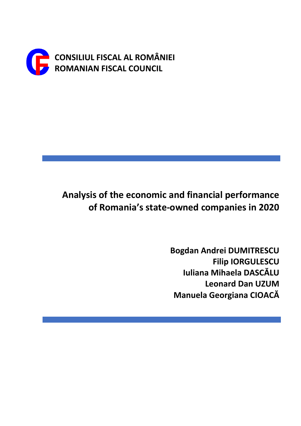

# **Analysis of the economic and financial performance of Romania's state-owned companies in 2020**

**Bogdan Andrei DUMITRESCU Filip IORGULESCU Iuliana Mihaela DASCĂLU Leonard Dan UZUM Manuela Georgiana CIOACĂ**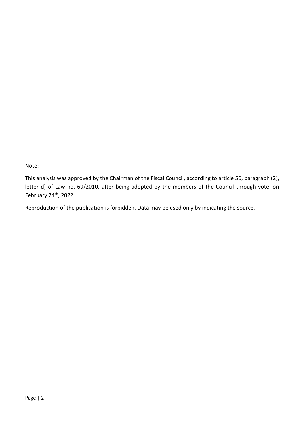Note:

This analysis was approved by the Chairman of the Fiscal Council, according to article 56, paragraph (2), letter d) of Law no. 69/2010, after being adopted by the members of the Council through vote, on February 24th, 2022.

Reproduction of the publication is forbidden. Data may be used only by indicating the source.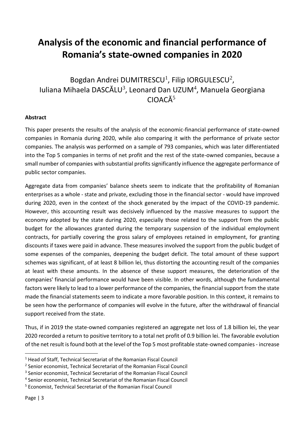## **Analysis of the economic and financial performance of Romania's state-owned companies in 2020**

Bogdan Andrei DUMITRESCU<sup>1</sup>, Filip IORGULESCU<sup>2</sup>, Iuliana Mihaela DASCĂLU<sup>3</sup>, Leonard Dan UZUM<sup>4</sup>, Manuela Georgiana  $CIOACÅ<sup>5</sup>$ 

### **Abstract**

This paper presents the results of the analysis of the economic-financial performance of state-owned companies in Romania during 2020, while also comparing it with the performance of private sector companies. The analysis was performed on a sample of 793 companies, which was later differentiated into the Top 5 companies in terms of net profit and the rest of the state-owned companies, because a small number of companies with substantial profits significantly influence the aggregate performance of public sector companies.

Aggregate data from companies' balance sheets seem to indicate that the profitability of Romanian enterprises as a whole - state and private, excluding those in the financial sector - would have improved during 2020, even in the context of the shock generated by the impact of the COVID-19 pandemic. However, this accounting result was decisively influenced by the massive measures to support the economy adopted by the state during 2020, especially those related to the support from the public budget for the allowances granted during the temporary suspension of the individual employment contracts, for partially covering the gross salary of employees retained in employment, for granting discounts if taxes were paid in advance. These measures involved the support from the public budget of some expenses of the companies, deepening the budget deficit. The total amount of these support schemes was significant, of at least 8 billion lei, thus distorting the accounting result of the companies at least with these amounts. In the absence of these support measures, the deterioration of the companies' financial performance would have been visible. In other words, although the fundamental factors were likely to lead to a lower performance of the companies, the financial support from the state made the financial statements seem to indicate a more favorable position. In this context, it remains to be seen how the performance of companies will evolve in the future, after the withdrawal of financial support received from the state.

Thus, if in 2019 the state-owned companies registered an aggregate net loss of 1.8 billion lei, the year 2020 recorded a return to positive territory to a total net profit of 0.9 billion lei. The favorable evolution of the net result is found both at the level of the Top 5 most profitable state-owned companies - increase

<sup>&</sup>lt;sup>1</sup> Head of Staff, Technical Secretariat of the Romanian Fiscal Council

<sup>&</sup>lt;sup>2</sup> Senior economist, Technical Secretariat of the Romanian Fiscal Council

<sup>&</sup>lt;sup>3</sup> Senior economist, Technical Secretariat of the Romanian Fiscal Council

<sup>4</sup> Senior economist, Technical Secretariat of the Romanian Fiscal Council

<sup>5</sup> Economist, Technical Secretariat of the Romanian Fiscal Council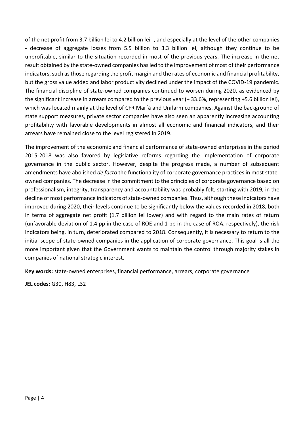of the net profit from 3.7 billion lei to 4.2 billion lei -, and especially at the level of the other companies - decrease of aggregate losses from 5.5 billion to 3.3 billion lei, although they continue to be unprofitable, similar to the situation recorded in most of the previous years. The increase in the net result obtained by the state-owned companies has led to the improvement of most of their performance indicators, such as those regarding the profit margin and the rates of economic and financial profitability, but the gross value added and labor productivity declined under the impact of the COVID-19 pandemic. The financial discipline of state-owned companies continued to worsen during 2020, as evidenced by the significant increase in arrears compared to the previous year (+ 33.6%, representing +5.6 billion lei), which was located mainly at the level of CFR Marfă and Unifarm companies. Against the background of state support measures, private sector companies have also seen an apparently increasing accounting profitability with favorable developments in almost all economic and financial indicators, and their arrears have remained close to the level registered in 2019.

The improvement of the economic and financial performance of state-owned enterprises in the period 2015-2018 was also favored by legislative reforms regarding the implementation of corporate governance in the public sector. However, despite the progress made, a number of subsequent amendments have abolished *de facto* the functionality of corporate governance practices in most stateowned companies. The decrease in the commitment to the principles of corporate governance based on professionalism, integrity, transparency and accountability was probably felt, starting with 2019, in the decline of most performance indicators of state-owned companies. Thus, although these indicators have improved during 2020, their levels continue to be significantly below the values recorded in 2018, both in terms of aggregate net profit (1.7 billion lei lower) and with regard to the main rates of return (unfavorable deviation of 1.4 pp in the case of ROE and 1 pp in the case of ROA, respectively), the risk indicators being, in turn, deteriorated compared to 2018. Consequently, it is necessary to return to the initial scope of state-owned companies in the application of corporate governance. This goal is all the more important given that the Government wants to maintain the control through majority stakes in companies of national strategic interest.

**Key words:** state-owned enterprises, financial performance, arrears, corporate governance

**JEL codes:** G30, H83, L32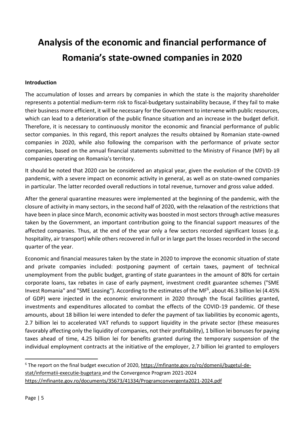# **Analysis of the economic and financial performance of Romania's state-owned companies in 2020**

### **Introduction**

The accumulation of losses and arrears by companies in which the state is the majority shareholder represents a potential medium-term risk to fiscal-budgetary sustainability because, if they fail to make their business more efficient, it will be necessary for the Government to intervene with public resources, which can lead to a deterioration of the public finance situation and an increase in the budget deficit. Therefore, it is necessary to continuously monitor the economic and financial performance of public sector companies. In this regard, this report analyzes the results obtained by Romanian state-owned companies in 2020, while also following the comparison with the performance of private sector companies, based on the annual financial statements submitted to the Ministry of Finance (MF) by all companies operating on Romania's territory.

It should be noted that 2020 can be considered an atypical year, given the evolution of the COVID-19 pandemic, with a severe impact on economic activity in general, as well as on state-owned companies in particular. The latter recorded overall reductions in total revenue, turnover and gross value added.

After the general quarantine measures were implemented at the beginning of the pandemic, with the closure of activity in many sectors, in the second half of 2020, with the relaxation of the restrictions that have been in place since March, economic activity was boosted in most sectors through active measures taken by the Government, an important contribution going to the financial support measures of the affected companies. Thus, at the end of the year only a few sectors recorded significant losses (e.g. hospitality, air transport) while others recovered in full or in large part the losses recorded in the second quarter of the year.

Economic and financial measures taken by the state in 2020 to improve the economic situation of state and private companies included: postponing payment of certain taxes, payment of technical unemployment from the public budget, granting of state guarantees in the amount of 80% for certain corporate loans, tax rebates in case of early payment, investment credit guarantee schemes ("SME Invest Romania" and "SME Leasing"). According to the estimates of the MF<sup>6</sup>, about 46.3 billion lei (4.45% of GDP) were injected in the economic environment in 2020 through the fiscal facilities granted, investments and expenditures allocated to combat the effects of the COVID-19 pandemic. Of these amounts, about 18 billion lei were intended to defer the payment of tax liabilities by economic agents, 2.7 billion lei to accelerated VAT refunds to support liquidity in the private sector (these measures favorably affecting only the liquidity of companies, not their profitability), 1 billion lei bonuses for paying taxes ahead of time, 4.25 billion lei for benefits granted during the temporary suspension of the individual employment contracts at the initiative of the employer, 2.7 billion lei granted to employers

<sup>6</sup> The report on the final budget execution of 2020, [https://mfinante.gov.ro/ro/domenii/bugetul-de](https://mfinante.gov.ro/ro/domenii/bugetul-de-stat/informatii-executie-bugetara)[stat/informatii-executie-bugetara](https://mfinante.gov.ro/ro/domenii/bugetul-de-stat/informatii-executie-bugetara) and the Convergence Program 2021-2024 <https://mfinante.gov.ro/documents/35673/41334/Programconvergenta2021-2024.pdf>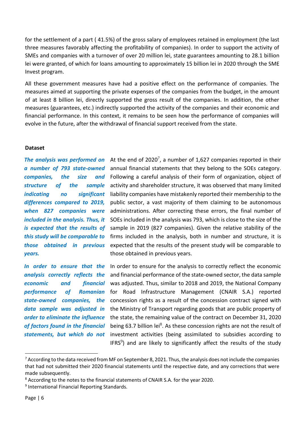for the settlement of a part ( 41.5%) of the gross salary of employees retained in employment (the last three measures favorably affecting the profitability of companies). In order to support the activity of SMEs and companies with a turnover of over 20 million lei, state guarantees amounting to 28.1 billion lei were granted, of which for loans amounting to approximately 15 billion lei in 2020 through the SME Invest program.

All these government measures have had a positive effect on the performance of companies. The measures aimed at supporting the private expenses of the companies from the budget, in the amount of at least 8 billion lei, directly supported the gross result of the companies. In addition, the other measures (guarantees, etc.) indirectly supported the activity of the companies and their economic and financial performance. In this context, it remains to be seen how the performance of companies will evolve in the future, after the withdrawal of financial support received from the state.

### **Dataset**

*companies, the size and structure of the sample indicating no significant differences compared to 2019, when 827 companies were included in the analysis. Thus, it is expected that the results of this study will be comparable to years.*

*analysis correctly reflects the performance of Romanian data sample was adjusted in order to eliminate the influence of factors found in the financial statements, but which do not* 

The analysis was performed on At the end of 2020<sup>7</sup>, a number of 1,627 companies reported in their a number of 793 state-owned annual financial statements that they belong to the SOEs category. those obtained in previous expected that the results of the present study will be comparable to Following a careful analysis of their form of organization, object of activity and shareholder structure, it was observed that many limited liability companies have mistakenly reported their membership to the public sector, a vast majority of them claiming to be autonomous administrations. After correcting these errors, the final number of SOEs included in the analysis was 793, which is close to the size of the sample in 2019 (827 companies). Given the relative stability of the firms included in the analysis, both in number and structure, it is those obtained in previous years.

In order to ensure that the In order to ensure for the analysis to correctly reflect the economic *economic and financial*  was adjusted. Thus, similar to 2018 and 2019, the National Company state-owned companies, the concession rights as a result of the concession contract signed with and financial performance of the state-owned sector, the data sample for Road Infrastructure Management (CNAIR S.A.) reported the Ministry of Transport regarding goods that are public property of the state, the remaining value of the contract on December 31, 2020 being 63.7 billion lei<sup>8</sup>. As these concession rights are not the result of investment activities (being assimilated to subsidies according to IFRS<sup>9</sup>) and are likely to significantly affect the results of the study

 $7$  According to the data received from MF on September 8, 2021. Thus, the analysis does not include the companies that had not submitted their 2020 financial statements until the respective date, and any corrections that were made subsequently.

<sup>&</sup>lt;sup>8</sup> According to the notes to the financial statements of CNAIR S.A. for the year 2020.

<sup>&</sup>lt;sup>9</sup> International Financial Reporting Standards.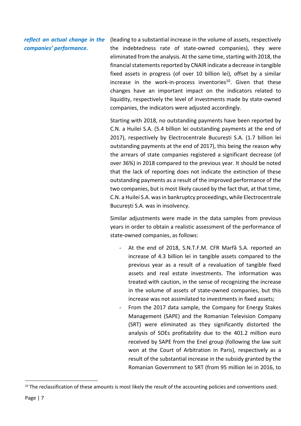reflect an actual change in the (leading to a substantial increase in the volume of assets, respectively *companies' performance.* the indebtedness rate of state-owned companies), they were eliminated from the analysis. At the same time, starting with 2018, the financial statements reported by CNAIR indicate a decrease in tangible fixed assets in progress (of over 10 billion lei), offset by a similar increase in the work-in-process inventories<sup>10</sup>. Given that these

changes have an important impact on the indicators related to liquidity, respectively the level of investments made by state-owned companies, the indicators were adjusted accordingly.

Starting with 2018, no outstanding payments have been reported by C.N. a Huilei S.A. (5.4 billion lei outstanding payments at the end of 2017), respectively by Electrocentrale București S.A. (1.7 billion lei outstanding payments at the end of 2017), this being the reason why the arrears of state companies registered a significant decrease (of over 36%) in 2018 compared to the previous year. It should be noted that the lack of reporting does not indicate the extinction of these outstanding payments as a result of the improved performance of the two companies, but is most likely caused by the fact that, at that time, C.N. a Huilei S.A. was in bankruptcy proceedings, while Electrocentrale București S.A. was in insolvency.

Similar adjustments were made in the data samples from previous years in order to obtain a realistic assessment of the performance of state-owned companies, as follows:

- At the end of 2018, S.N.T.F.M. CFR Marfa S.A. reported an increase of 4.3 billion lei in tangible assets compared to the previous year as a result of a revaluation of tangible fixed assets and real estate investments. The information was treated with caution, in the sense of recognizing the increase in the volume of assets of state-owned companies, but this increase was not assimilated to investments in fixed assets;
- From the 2017 data sample, the Company for Energy Stakes Management (SAPE) and the Romanian Television Company (SRT) were eliminated as they significantly distorted the analysis of SOEs profitability due to the 401.2 million euro received by SAPE from the Enel group (following the law suit won at the Court of Arbitration in Paris), respectively as a result of the substantial increase in the subsidy granted by the Romanian Government to SRT (from 95 million lei in 2016, to

<sup>&</sup>lt;sup>10</sup> The reclassification of these amounts is most likely the result of the accounting policies and conventions used.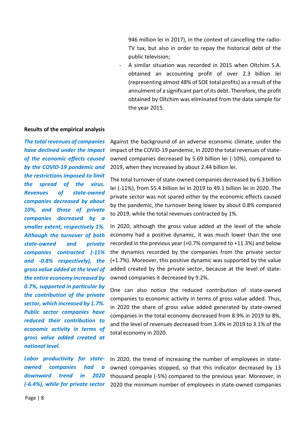946 million lei in 2017), in the context of cancelling the radio-TV tax, but also in order to repay the historical debt of the public television;

A similar situation was recorded in 2015 when Oltchim S.A. obtained an accounting profit of over 2.3 billion lei (representing almost 48% of SOE total profits) as a result of the annulment of a significant part of its debt. Therefore, the profit obtained by Oltchim was eliminated from the data sample for the year 2015.

### **Results of the empirical analysis**

*The total revenues of companies have declined under the impact of the economic effects caused by the COVID-19 pandemic and the restrictions imposed to limit the spread of the virus. Revenues of state-owned companies decreased by about 10%, and those of private companies decreased by a smaller extent, respectively 1%. Although the turnover of both state-owned and private companies contracted (-11% and -0.8% respectively), the gross value added at the level of the entire economy increased by 0.7%, supported in particular by the contribution of the private sector, which increased by 1.7%. Public sector companies have reduced their contribution to economic activity in terms of gross value added created at national level.*

*Labor productivity for stateowned companies had a downward trend in 2020 (-6.4%), while for private sector* 

Against the background of an adverse economic climate, under the impact of the COVID-19 pandemic, in 2020 the total revenues of stateowned companies decreased by 5.69 billion lei (-10%), compared to 2019, when they increased by about 2.44 billion lei.

The total turnover of state-owned companies decreased by 6.3 billion lei (-11%), from 55.4 billion lei in 2019 to 49.1 billion lei in 2020. The private sector was not spared either by the economic effects caused by the pandemic, the turnover being lower by about 0.8% compared to 2019, while the total revenues contracted by 1%.

In 2020, although the gross value added at the level of the whole economy had a positive dynamic, it was much lower than the one recorded in the previous year (+0.7% compared to +11.3%) and below the dynamics recorded by the companies from the private sector (+1.7%). Moreover, this positive dynamic was supported by the value added created by the private sector, because at the level of stateowned companies it decreased by 9.2%.

One can also notice the reduced contribution of state-owned companies to economic activity in terms of gross value added. Thus, in 2020 the share of gross value added generated by state-owned companies in the total economy decreased from 8.9% in 2019 to 8%, and the level of revenues decreased from 3.4% in 2019 to 3.1% of the total economy in 2020.

In 2020, the trend of increasing the number of employees in stateowned companies stopped, so that this indicator decreased by 13 thousand people (-5%) compared to the previous year. Moreover, in 2020 the minimum number of employees in state-owned companies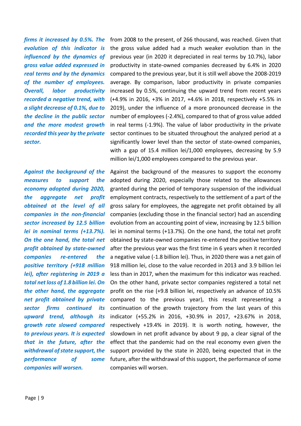*firms it increased by 0.5%. The evolution of this indicator is influenced by the dynamics of gross value added expressed in real terms and by the dynamics of the number of employees. Overall, labor productivity recorded a negative trend, with a slight decrease of 0.1%, due to the decline in the public sector and the more modest growth recorded this year by the private sector.*

*Against the background of the measures to support the economy adopted during 2020, the aggregate net profit obtained at the level of all companies in the non-financial sector increased by 12.5 billion lei in nominal terms (+13.7%). On the one hand, the total net profit obtained by state-owned companies re-entered the positive territory (+918 million lei), after registering in 2019 a total net loss of 1.8 billion lei. On the other hand, the aggregate net profit obtained by private sector firms continued its upward trend, although its growth rate slowed compared to previous years. It is expected that in the future, after the withdrawal of state support, the performance of some companies will worsen.*

from 2008 to the present, of 266 thousand, was reached. Given that the gross value added had a much weaker evolution than in the previous year (in 2020 it depreciated in real terms by 10.7%), labor productivity in state-owned companies decreased by 6.4% in 2020 compared to the previous year, but it is still well above the 2008-2019 average. By comparison, labor productivity in private companies increased by 0.5%, continuing the upward trend from recent years (+4.9% in 2016, +3% in 2017, +4.6% in 2018, respectively +5.5% in 2019), under the influence of a more pronounced decrease in the number of employees (-2.4%), compared to that of gross value added in real terms (-1.9%). The value of labor productivity in the private sector continues to be situated throughout the analyzed period at a significantly lower level than the sector of state-owned companies, with a gap of 15.4 million lei/1,000 employees, decreasing by 5.9 million lei/1,000 employees compared to the previous year.

Against the background of the measures to support the economy adopted during 2020, especially those related to the allowances granted during the period of temporary suspension of the individual employment contracts, respectively to the settlement of a part of the gross salary for employees, the aggregate net profit obtained by all companies (excluding those in the financial sector) had an ascending evolution from an accounting point of view, increasing by 12.5 billion lei in nominal terms (+13.7%). On the one hand, the total net profit obtained by state-owned companies re-entered the positive territory after the previous year was the first time in 6 years when it recorded a negative value (-1.8 billion lei). Thus, in 2020 there was a net gain of 918 million lei, close to the value recorded in 2013 and 3.9 billion lei less than in 2017, when the maximum for this indicator was reached. On the other hand, private sector companies registered a total net profit on the rise (+9.8 billion lei, respectively an advance of 10.5% compared to the previous year), this result representing a continuation of the growth trajectory from the last years of this indicator (+55.2% in 2016, +30.9% in 2017, +23.67% in 2018, respectively +19.4% in 2019). It is worth noting, however, the slowdown in net profit advance by about 9 pp, a clear signal of the effect that the pandemic had on the real economy even given the support provided by the state in 2020, being expected that in the future, after the withdrawal of this support, the performance of some companies will worsen.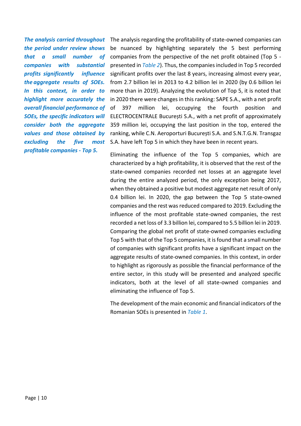*the period under review shows that a small number of companies with substantial profits significantly influence the aggregate results of SOEs. In this context, in order to highlight more accurately the overall financial performance of SOEs, the specific indicators will consider both the aggregate values and those obtained by excluding the five most profitable companies - Top 5.*

The analysis carried throughout The analysis regarding the profitability of state-owned companies can be nuanced by highlighting separately the 5 best performing companies from the perspective of the net profit obtained (Top 5 presented in *Table 2*). Thus, the companies included in Top 5 recorded significant profits over the last 8 years, increasing almost every year, from 2.7 billion lei in 2013 to 4.2 billion lei in 2020 (by 0.6 billion lei more than in 2019). Analyzing the evolution of Top 5, it is noted that in 2020 there were changes in this ranking: SAPE S.A., with a net profit of 397 million lei, occupying the fourth position and ELECTROCENTRALE București S.A., with a net profit of approximately 359 million lei, occupying the last position in the top, entered the ranking, while C.N. Aeroporturi București S.A. and S.N.T.G.N. Transgaz S.A. have left Top 5 in which they have been in recent years.

> Eliminating the influence of the Top 5 companies, which are characterized by a high profitability, it is observed that the rest of the state-owned companies recorded net losses at an aggregate level during the entire analyzed period, the only exception being 2017, when they obtained a positive but modest aggregate net result of only 0.4 billion lei. In 2020, the gap between the Top 5 state-owned companies and the rest was reduced compared to 2019. Excluding the influence of the most profitable state-owned companies, the rest recorded a net loss of 3.3 billion lei, compared to 5.5 billion lei in 2019. Comparing the global net profit of state-owned companies excluding Top 5 with that of the Top 5 companies, it is found that a small number of companies with significant profits have a significant impact on the aggregate results of state-owned companies. In this context, in order to highlight as rigorously as possible the financial performance of the entire sector, in this study will be presented and analyzed specific indicators, both at the level of all state-owned companies and eliminating the influence of Top 5.

> The development of the main economic and financial indicators of the Romanian SOEs is presented in *Table 1*.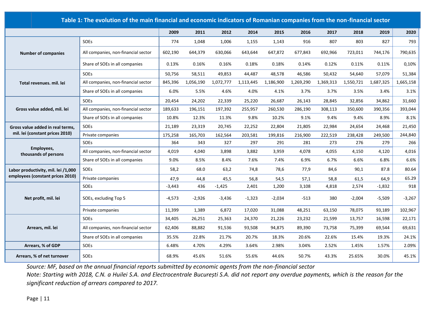|                                     | Table 1: The evolution of the main financial and economic indicators of Romanian companies from the non-financial sector |          |           |           |           |           |           |           |           |           |           |
|-------------------------------------|--------------------------------------------------------------------------------------------------------------------------|----------|-----------|-----------|-----------|-----------|-----------|-----------|-----------|-----------|-----------|
|                                     |                                                                                                                          | 2009     | 2011      | 2012      | 2014      | 2015      | 2016      | 2017      | 2018      | 2019      | 2020      |
|                                     | SOEs                                                                                                                     | 774      | 1,048     | 1,006     | 1,155     | 1,143     | 916       | 807       | 803       | 827       | 793       |
| <b>Number of companies</b>          | All companies, non-financial sector                                                                                      | 602,190  | 644,379   | 630,066   | 643,644   | 647,872   | 677,843   | 692,966   | 723,011   | 744,176   | 790,635   |
|                                     | Share of SOEs in all companies                                                                                           | 0.13%    | 0.16%     | 0.16%     | 0.18%     | 0.18%     | 0.14%     | 0.12%     | 0.11%     | 0.11%     | 0,10%     |
|                                     | SOEs                                                                                                                     | 50,756   | 58,511    | 49,853    | 44,487    | 48,578    | 46,586    | 50,432    | 54,640    | 57,079    | 51,384    |
| Total revenues, mil. lei            | All companies, non-financial sector                                                                                      | 845,396  | 1,056,190 | 1,072,777 | 1,113,445 | 1,186,900 | 1,269,290 | 1,369,313 | 1,550,721 | 1,687,325 | 1,665,158 |
|                                     | Share of SOEs in all companies                                                                                           | 6.0%     | 5.5%      | 4.6%      | 4.0%      | 4.1%      | 3.7%      | 3.7%      | 3.5%      | 3.4%      | 3.1%      |
|                                     | SOEs                                                                                                                     | 20,454   | 24,202    | 22,339    | 25,220    | 26,687    | 26,143    | 28,845    | 32,856    | 34,862    | 31,660    |
| Gross value added, mil. lei         | All companies, non-financial sector                                                                                      | 189,633  | 196,151   | 197,392   | 255,957   | 260,530   | 286,190   | 308,113   | 350,600   | 390,356   | 393,044   |
|                                     | Share of SOEs in all companies                                                                                           | 10.8%    | 12.3%     | 11.3%     | 9.8%      | 10.2%     | 9.1%      | 9.4%      | 9.4%      | 8.9%      | 8.1%      |
| Gross value added in real terms,    | SOEs                                                                                                                     | 21,189   | 23,319    | 20,745    | 22,252    | 22,804    | 21,805    | 22,984    | 24,654    | 24,468    | 21,450    |
| mil. lei (constant prices 2010)     | Private companies                                                                                                        | 175,258  | 165,703   | 162,564   | 203,581   | 199,816   | 216,900   | 222,519   | 238,428   | 249,500   | 244,840   |
|                                     | <b>SOEs</b>                                                                                                              | 364      | 343       | 327       | 297       | 291       | 281       | 273       | 276       | 279       | 266       |
| Employees,<br>thousands of persons  | All companies, non-financial sector                                                                                      | 4,019    | 4,040     | 3,898     | 3,882     | 3,959     | 4,078     | 4,055     | 4,150     | 4,120     | 4,016     |
|                                     | Share of SOEs in all companies                                                                                           | 9.0%     | 8.5%      | 8.4%      | 7.6%      | 7.4%      | 6.9%      | 6.7%      | 6.6%      | 6.8%      | 6.6%      |
| Labor productivity, mil. lei /1,000 | SOEs                                                                                                                     | 58,2     | 68.0      | 63,2      | 74,8      | 78,6      | 77,9      | 84,6      | 90,1      | 87.8      | 80.64     |
| employees (constant prices 2010)    | Private companies                                                                                                        | 47,9     | 44,8      | 45,5      | 56,8      | 54,5      | 57,1      | 58,8      | 61,5      | 64,9      | 65.29     |
|                                     | SOEs                                                                                                                     | $-3,443$ | 436       | $-1,425$  | 2,401     | 1,200     | 3,108     | 4,818     | 2,574     | $-1,832$  | 918       |
| Net profit, mil. lei                | SOEs, excluding Top 5                                                                                                    | $-4,573$ | -2,926    | $-3,436$  | $-1,323$  | $-2,034$  | $-513$    | 380       | $-2,004$  | $-5,509$  | $-3,267$  |
|                                     | Private companies                                                                                                        | 11,399   | 1,389     | 6,872     | 17,020    | 31,088    | 48,251    | 63,150    | 78,075    | 93,189    | 102,967   |
|                                     | SOEs                                                                                                                     | 34,405   | 26,251    | 25,363    | 24,370    | 21,226    | 23,232    | 21,599    | 13,757    | 16,598    | 22,171    |
| Arrears, mil. lei                   | All companies, non-financial sector                                                                                      | 62,406   | 88,882    | 91,536    | 93,508    | 94,875    | 89,390    | 73,758    | 75,399    | 69,544    | 69,631    |
|                                     | Share of SOEs in all companies                                                                                           | 35.5%    | 22.8%     | 21.7%     | 20.7%     | 18.3%     | 20.6%     | 22.6%     | 15.4%     | 19.3%     | 24.1%     |
| Arrears, % of GDP                   | SOEs                                                                                                                     | 6.48%    | 4.70%     | 4.29%     | 3.64%     | 2.98%     | 3.04%     | 2.52%     | 1.45%     | 1.57%     | 2.09%     |
| Arrears, % of net turnover          | SOEs                                                                                                                     | 68.9%    | 45.6%     | 51.6%     | 55.6%     | 44.6%     | 50.7%     | 43.3%     | 25.65%    | 30.0%     | 45.1%     |

*Source: MF, based on the annual financial reports submitted by economic agents from the non-financial sector Note: Starting with 2018, C.N. a Huilei S.A. and Electrocentrale București S.A. did not report any overdue payments, which is the reason for the significant reduction of arrears compared to 2017.*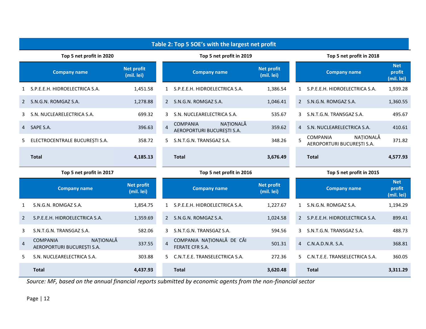|                | Table 2: Top 5 SOE's with the largest net profit           |                                 |                          |                                                            |                                 |                          |                                                            |                                    |  |  |
|----------------|------------------------------------------------------------|---------------------------------|--------------------------|------------------------------------------------------------|---------------------------------|--------------------------|------------------------------------------------------------|------------------------------------|--|--|
|                | Top 5 net profit in 2020                                   |                                 |                          | Top 5 net profit in 2019                                   |                                 | Top 5 net profit in 2018 |                                                            |                                    |  |  |
|                | <b>Company name</b>                                        | <b>Net profit</b><br>(mil. lei) |                          | <b>Company name</b>                                        | <b>Net profit</b><br>(mil. lei) |                          | <b>Company name</b>                                        | <b>Net</b><br>profit<br>(mil. lei) |  |  |
| $\mathbf{1}$   | S.P.E.E.H. HIDROELECTRICA S.A.                             | 1,451.58                        |                          | 1 S.P.E.E.H. HIDROELECTRICA S.A.                           | 1,386.54                        | $\mathbf{1}$             | S.P.E.E.H. HIDROELECTRICA S.A.                             | 1,939.28                           |  |  |
| 2              | S.N.G.N. ROMGAZ S.A.                                       | 1,278.88                        |                          | 2 S.N.G.N. ROMGAZ S.A.                                     | 1,046.41                        | $\mathbf{2}^{\prime}$    | S.N.G.N. ROMGAZ S.A.                                       | 1,360.55                           |  |  |
| 3              | S.N. NUCLEARELECTRICA S.A.                                 | 699.32                          | 3                        | S.N. NUCLEARELECTRICA S.A.                                 | 535.67                          | 3                        | S.N.T.G.N. TRANSGAZ S.A.                                   | 495.67                             |  |  |
| $\overline{4}$ | SAPE S.A.                                                  | 396.63                          | $\overline{4}$           | NATIONALĂ<br><b>COMPANIA</b><br>AEROPORTURI BUCUREȘTI S.A. | 359.62                          | 4                        | S.N. NUCLEARELECTRICA S.A.                                 | 410.61                             |  |  |
| 5.             | ELECTROCENTRALE BUCUREȘTI S.A.                             | 358.72                          | 5.                       | S.N.T.G.N. TRANSGAZ S.A.                                   | 348.26                          | 5                        | NATIONALĂ<br><b>COMPANIA</b><br>AEROPORTURI BUCUREȘTI S.A. | 371.82                             |  |  |
|                | <b>Total</b>                                               | 4,185.13                        |                          | <b>Total</b>                                               | 3,676.49                        |                          | <b>Total</b>                                               | 4,577.93                           |  |  |
|                | Top 5 net profit in 2017                                   |                                 | Top 5 net profit in 2016 |                                                            |                                 | Top 5 net profit in 2015 |                                                            |                                    |  |  |
|                | <b>Company name</b>                                        | <b>Net profit</b><br>(mil. lei) |                          | <b>Company name</b>                                        | <b>Net profit</b><br>(mil. lei) |                          | <b>Company name</b>                                        | <b>Net</b><br>profit<br>(mil. lei) |  |  |
| 1              | S.N.G.N. ROMGAZ S.A.                                       | 1,854.75                        | $\mathbf{1}$             | S.P.E.E.H. HIDROELECTRICA S.A.                             | 1,227.67                        | 1                        | S.N.G.N. ROMGAZ S.A.                                       | 1,194.29                           |  |  |
| $\overline{2}$ | S.P.E.E.H. HIDROELECTRICA S.A.                             | 1,359.69                        |                          | 2 S.N.G.N. ROMGAZ S.A.                                     | 1,024.58                        | $\overline{2}$           | S.P.E.E.H. HIDROELECTRICA S.A.                             | 899.41                             |  |  |
| 3              | S.N.T.G.N. TRANSGAZ S.A.                                   | 582.06                          | 3                        | S.N.T.G.N. TRANSGAZ S.A.                                   | 594.56                          | 3                        | S.N.T.G.N. TRANSGAZ S.A.                                   | 488.73                             |  |  |
| $\overline{4}$ | NATIONALĂ<br><b>COMPANIA</b><br>AEROPORTURI BUCUREȘTI S.A. | 337.55                          | $\overline{4}$           | COMPANIA NAȚIONALĂ DE CĂI<br>FERATE CFR S.A.               | 501.31                          | 4                        | C.N.A.D.N.R. S.A.                                          | 368.81                             |  |  |
| 5              | S.N. NUCLEARELECTRICA S.A.                                 | 303.88                          | 5.                       | C.N.T.E.E. TRANSELECTRICA S.A.                             | 272.36                          | 5                        | C.N.T.E.E. TRANSELECTRICA S.A.                             | 360.05                             |  |  |
|                | <b>Total</b>                                               | 4,437.93                        |                          | <b>Total</b>                                               | 3,620.48                        |                          | <b>Total</b>                                               | 3,311.29                           |  |  |

*Source: MF, based on the annual financial reports submitted by economic agents from the non-financial sector*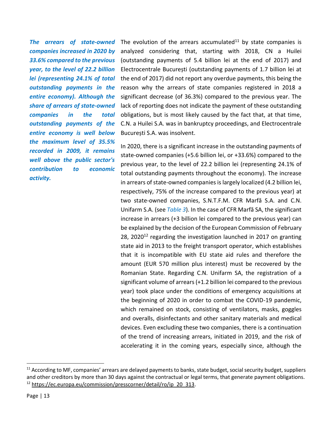*companies increased in 2020 by 33.6% compared to the previous year, to the level of 22.2 billion lei (representing 24.1% of total outstanding payments in the entire economy). Although the share of arrears of state-owned companies in the total outstanding payments of the entire economy is well below the maximum level of 35.5% recorded in 2009, it remains well above the public sector's contribution to economic activity.*

The arrears of state-owned The evolution of the arrears accumulated<sup>11</sup> by state companies is analyzed considering that, starting with 2018, CN a Huilei (outstanding payments of 5.4 billion lei at the end of 2017) and Electrocentrale București (outstanding payments of 1.7 billion lei at the end of 2017) did not report any overdue payments, this being the reason why the arrears of state companies registered in 2018 a significant decrease (of 36.3%) compared to the previous year. The lack of reporting does not indicate the payment of these outstanding obligations, but is most likely caused by the fact that, at that time, C.N. a Huilei S.A. was in bankruptcy proceedings, and Electrocentrale București S.A. was insolvent.

> In 2020, there is a significant increase in the outstanding payments of state-owned companies (+5.6 billion lei, or +33.6%) compared to the previous year, to the level of 22.2 billion lei (representing 24.1% of total outstanding payments throughout the economy). The increase in arrears of state-owned companies is largely localized (4.2 billion lei, respectively, 75% of the increase compared to the previous year) at two state-owned companies, S.N.T.F.M. CFR Marfă S.A. and C.N. Unifarm S.A. (see *Table 3*). In the case of CFR Marfă SA, the significant increase in arrears (+3 billion lei compared to the previous year) can be explained by the decision of the European Commission of February  $28$ , 2020<sup>12</sup> regarding the investigation launched in 2017 on granting state aid in 2013 to the freight transport operator, which establishes that it is incompatible with EU state aid rules and therefore the amount (EUR 570 million plus interest) must be recovered by the Romanian State. Regarding C.N. Unifarm SA, the registration of a significant volume of arrears (+1.2 billion lei compared to the previous year) took place under the conditions of emergency acquisitions at the beginning of 2020 in order to combat the COVID-19 pandemic, which remained on stock, consisting of ventilators, masks, goggles and overalls, disinfectants and other sanitary materials and medical devices. Even excluding these two companies, there is a continuation of the trend of increasing arrears, initiated in 2019, and the risk of accelerating it in the coming years, especially since, although the

<sup>&</sup>lt;sup>11</sup> According to MF, companies' arrears are delayed payments to banks, state budget, social security budget, suppliers and other creditors by more than 30 days against the contractual or legal terms, that generate payment obligations.  $12$  [https://ec.europa.eu/commission/presscorner/detail/ro/ip\\_20\\_313.](https://ec.europa.eu/commission/presscorner/detail/ro/ip_20_313)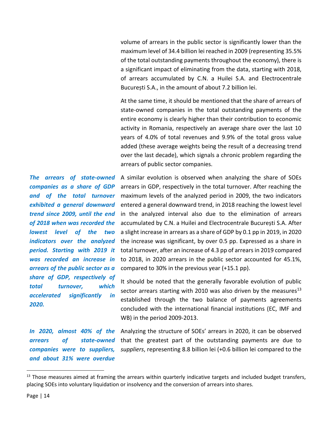volume of arrears in the public sector is significantly lower than the maximum level of 34.4 billion lei reached in 2009 (representing 35.5% of the total outstanding payments throughout the economy), there is a significant impact of eliminating from the data, starting with 2018, of arrears accumulated by C.N. a Huilei S.A. and Electrocentrale București S.A., in the amount of about 7.2 billion lei.

At the same time, it should be mentioned that the share of arrears of state-owned companies in the total outstanding payments of the entire economy is clearly higher than their contribution to economic activity in Romania, respectively an average share over the last 10 years of 4.0% of total revenues and 9.9% of the total gross value added (these average weights being the result of a decreasing trend over the last decade), which signals a chronic problem regarding the arrears of public sector companies.

A similar evolution is observed when analyzing the share of SOEs arrears in GDP, respectively in the total turnover. After reaching the maximum levels of the analyzed period in 2009, the two indicators entered a general downward trend, in 2018 reaching the lowest level in the analyzed interval also due to the elimination of arrears accumulated by C.N. a Huilei and Electrocentrale București S.A. After a slight increase in arrears as a share of GDP by 0.1 pp in 2019, in 2020 the increase was significant, by over 0.5 pp. Expressed as a share in total turnover, after an increase of 4.3 pp of arrears in 2019 compared to 2018, in 2020 arrears in the public sector accounted for 45.1%, compared to 30% in the previous year (+15.1 pp).

It should be noted that the generally favorable evolution of public sector arrears starting with 2010 was also driven by the measures<sup>13</sup> established through the two balance of payments agreements concluded with the international financial institutions (EC, IMF and WB) in the period 2009-2013.

*companies were to suppliers, and about 31% were overdue* 

*The arrears of state-owned companies as a share of GDP and of the total turnover exhibited a general downward trend since 2009, until the end of 2018 when was recorded the lowest level of the two indicators over the analyzed period. Starting with 2019 it was recorded an increase in arrears of the public sector as a share of GDP, respectively of total turnover, which accelerated significantly in* 

In 2020, almost 40% of the Analyzing the structure of SOEs' arrears in 2020, it can be observed arrears of state-owned that the greatest part of the outstanding payments are due to *suppliers*, representing 8.8 billion lei (+0.6 billion lei compared to the

*2020.*

<sup>&</sup>lt;sup>13</sup> Those measures aimed at framing the arrears within quarterly indicative targets and included budget transfers, placing SOEs into voluntary liquidation or insolvency and the conversion of arrears into shares.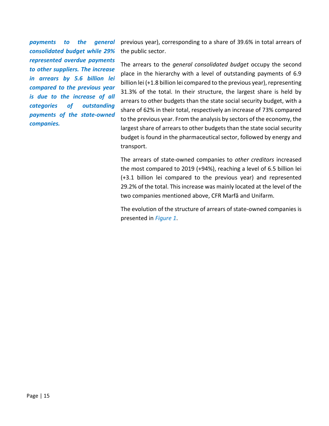*payments to the general consolidated budget while 29% represented overdue payments to other suppliers. The increase in arrears by 5.6 billion lei compared to the previous year is due to the increase of all categories of outstanding payments of the state-owned companies.*

previous year), corresponding to a share of 39.6% in total arrears of the public sector.

The arrears to the *general consolidated budget* occupy the second place in the hierarchy with a level of outstanding payments of 6.9 billion lei (+1.8 billion lei compared to the previous year), representing 31.3% of the total. In their structure, the largest share is held by arrears to other budgets than the state social security budget, with a share of 62% in their total, respectively an increase of 73% compared to the previous year. From the analysis by sectors of the economy, the largest share of arrears to other budgets than the state social security budget is found in the pharmaceutical sector, followed by energy and transport.

The arrears of state-owned companies to *other creditors* increased the most compared to 2019 (+94%), reaching a level of 6.5 billion lei (+3.1 billion lei compared to the previous year) and represented 29.2% of the total. This increase was mainly located at the level of the two companies mentioned above, CFR Marfă and Unifarm.

The evolution of the structure of arrears of state-owned companies is presented in *Figure 1*.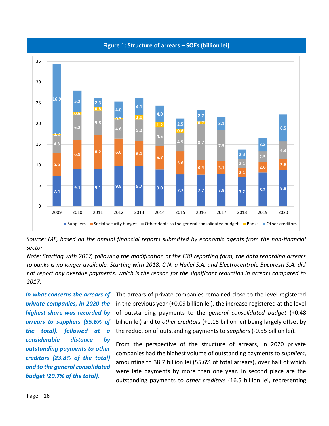

### **Figure 1: Structure of arrears – SOEs (billion lei)**

*Source: MF, based on the annual financial reports submitted by economic agents from the non-financial sector*

*Note: Starting with 2017, following the modification of the F30 reporting form, the data regarding arrears to banks is no longer available. Starting with 2018, C.N. a Huilei S.A. and Electrocentrale București S.A. did not report any overdue payments, which is the reason for the significant reduction in arrears compared to 2017.*

*In what concerns the arrears of private companies, in 2020 the highest share was recorded by arrears to suppliers (55.6% of the total), followed at a considerable distance by outstanding payments to other creditors (23.8% of the total) and to the general consolidated budget (20.7% of the total).*

The arrears of private companies remained close to the level registered in the previous year (+0.09 billion lei), the increase registered at the level of outstanding payments to the *general consolidated budget* (+0.48 billion lei) and to *other creditors* (+0.15 billion lei) being largely offset by the reduction of outstanding payments to *suppliers* (-0.55 billion lei).

From the perspective of the structure of arrears, in 2020 private companies had the highest volume of outstanding payments to *suppliers*, amounting to 38.7 billion lei (55.6% of total arrears), over half of which were late payments by more than one year. In second place are the outstanding payments to *other creditors* (16.5 billion lei, representing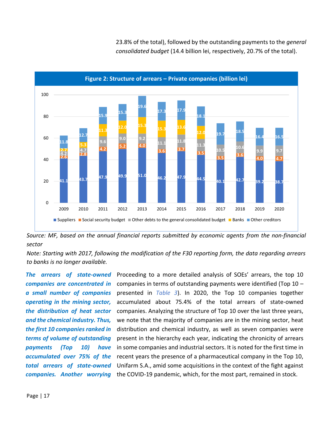

23.8% of the total), followed by the outstanding payments to the *general consolidated budget* (14.4 billion lei, respectively, 20.7% of the total).

*Source: MF, based on the annual financial reports submitted by economic agents from the non-financial sector*

*Note: Starting with 2017, following the modification of the F30 reporting form, the data regarding arrears to banks is no longer available.*

*The arrears of state-owned companies are concentrated in a small number of companies operating in the mining sector, the distribution of heat sector and the chemical industry. Thus, the first 10 companies ranked in terms of volume of outstanding payments (Top 10) have accumulated over 75% of the total arrears of state-owned* 

companies. Another worrying the COVID-19 pandemic, which, for the most part, remained in stock. Proceeding to a more detailed analysis of SOEs' arrears, the top 10 companies in terms of outstanding payments were identified (Top 10 – presented in *Table 3*). In 2020, the Top 10 companies together accumulated about 75.4% of the total arrears of state-owned companies. Analyzing the structure of Top 10 over the last three years, we note that the majority of companies are in the mining sector, heat distribution and chemical industry, as well as seven companies were present in the hierarchy each year, indicating the chronicity of arrears in some companies and industrial sectors. It is noted for the first time in recent years the presence of a pharmaceutical company in the Top 10, Unifarm S.A., amid some acquisitions in the context of the fight against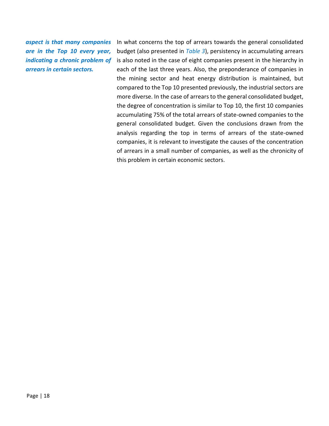*aspect is that many companies are in the Top 10 every year, indicating a chronic problem of arrears in certain sectors.*

In what concerns the top of arrears towards the general consolidated budget (also presented in *Table 3*), persistency in accumulating arrears is also noted in the case of eight companies present in the hierarchy in each of the last three years. Also, the preponderance of companies in the mining sector and heat energy distribution is maintained, but compared to the Top 10 presented previously, the industrial sectors are more diverse. In the case of arrears to the general consolidated budget, the degree of concentration is similar to Top 10, the first 10 companies accumulating 75% of the total arrears of state-owned companies to the general consolidated budget. Given the conclusions drawn from the analysis regarding the top in terms of arrears of the state-owned companies, it is relevant to investigate the causes of the concentration of arrears in a small number of companies, as well as the chronicity of this problem in certain economic sectors.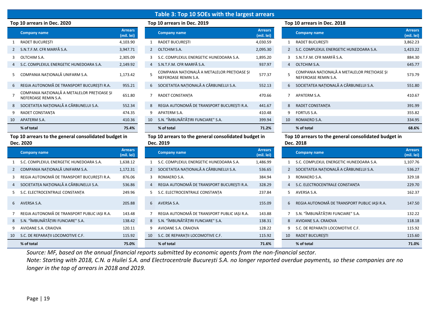## **Table 3: Top 10 SOEs with the largest arrears**

|                | <b>Company name</b>                                                 | <b>Arrears</b><br>(mil. lei) |                |
|----------------|---------------------------------------------------------------------|------------------------------|----------------|
| $\mathbf{1}$   | <b>RADET BUCURESTI</b>                                              | 4,103.90                     | 1              |
| $\mathcal{P}$  | S.N.T.F.M. CFR MARFĂ S.A.                                           | 3,947.71                     | $\overline{2}$ |
| 3              | OLTCHIM S.A.                                                        | 2,305.09                     | 3              |
| $\overline{4}$ | S.C. COMPLEXUL ENERGETIC HUNEDOARA S.A.                             | 2,149.92                     | $\overline{4}$ |
| 5              | COMPANIA NATIONALĂ UNIFARM S.A.                                     | 1,173.42                     | 5              |
| 6              | REGIA AUTONOMĂ DE TRANSPORT BUCURESTI R.A.                          | 955.21                       | 6              |
| $\overline{7}$ | COMPANIA NATIONALĂ A METALELOR PRETIOASE SI<br>NEFEROASE REMIN S.A. | 651.80                       | 7              |
| 8              | SOCIETATEA NATIONALĂ A CĂRBUNELUI S.A.                              | 552.34                       | 8              |
| 9              | RADET CONSTANTA                                                     | 474.35                       | 9              |
| 10             | APATERM S.A.                                                        | 410.36                       | 10             |
|                | % of total                                                          | 75.4%                        |                |

### **Top 10 arrears to the general consolidated budget in Dec. 2020**

|                | <b>Company name</b>                          | <b>Arrears</b><br>(mil. lei) |                | <b>Company name</b>                          | <b>Arrears</b><br>(mil. lei) |                | <b>Company name</b>                          | <b>Arrears</b><br>(mil. lei) |
|----------------|----------------------------------------------|------------------------------|----------------|----------------------------------------------|------------------------------|----------------|----------------------------------------------|------------------------------|
|                | S.C. COMPLEXUL ENERGETIC HUNEDOARA S.A.      | 1,638.12                     |                | S.C. COMPLEXUL ENERGETIC HUNEDOARA S.A.      | 1,486.99                     |                | S.C. COMPLEXUL ENERGETIC HUNEDOARA S.A.      | 1,107.76                     |
| $\overline{2}$ | COMPANIA NAȚIONALĂ UNIFARM S.A.              | 1,172.31                     | $\mathbf{2}$   | SOCIETATEA NATIONALĂ A CĂRBUNELUI S.A.       | 536.65                       | $2^{\circ}$    | SOCIETATEA NATIONALĂ A CĂRBUNELUI S.A.       | 536.27                       |
|                | REGIA AUTONOMĂ DE TRANSPORT BUCURESTI R.A.   | 876.06                       | 3              | ROMAERO S.A.                                 | 384.94                       | 3              | ROMAERO S.A.                                 | 329.18                       |
| $\overline{4}$ | SOCIETATEA NAȚIONALĂ A CĂRBUNELUI S.A.       | 536.86                       | $\overline{4}$ | REGIA AUTONOMĂ DE TRANSPORT BUCURESTI R.A.   | 328.29                       | $\overline{4}$ | S.C. ELECTROCENTRALE CONSTANTA               | 229.70                       |
|                | S.C. ELECTROCENTRALE CONSTANTA               | 249.96                       |                | S.C. ELECTROCENTRALE CONSTANTA               | 237.84                       | 5.             | AVERSA S.A.                                  | 162.37                       |
| 6              | AVERSA S.A.                                  | 205.88                       | 6              | AVERSA S.A.                                  | 155.09                       | 6              | REGIA AUTONOMĂ DE TRANSPORT PUBLIC IAȘI R.A. | 147.50                       |
|                | REGIA AUTONOMĂ DE TRANSPORT PUBLIC IAȘI R.A. | 143.48                       |                | REGIA AUTONOMĂ DE TRANSPORT PUBLIC IASI R.A. | 143.88                       |                | S.N. "ÎMBUNĂTĂTIRI FUNCIARE" S.A.            | 132.22                       |
|                | 8 S.N. "ÎMBUNĂTĂTIRI FUNCIARE" S.A.          | 138.42                       | 8              | S.N. "ÎMBUNĂTĂTIRI FUNCIARE" S.A.            | 138.31                       | 8              | AVIOANE S.A. CRAIOVA                         | 118.18                       |
| 9              | AVIOANE S.A. CRAIOVA                         | 120.11                       | 9              | AVIOANE S.A. CRAIOVA                         | 128.22                       | 9              | S.C. DE REPARATII LOCOMOTIVE C.F.            | 115.92                       |
| 10             | S.C. DE REPARAȚII LOCOMOTIVE C.F.            | 115.92                       | 10             | S.C. DE REPARATII LOCOMOTIVE C.F.            | 115.92                       | 10             | <b>RADET BUCURESTI</b>                       | 115.60                       |
|                | % of total                                   | 75.0%                        |                | % of total                                   | 71.6%                        |                | % of total                                   | 71.0%                        |

|  | <b>p 10 arrears in Dec. 2019</b> |  |  |
|--|----------------------------------|--|--|
|  |                                  |  |  |

| <b>Arrears</b><br>(mil. lei) |                | <b>Company name</b>                                                 | <b>Arrears</b><br>(mil. lei) |  |
|------------------------------|----------------|---------------------------------------------------------------------|------------------------------|--|
| 4,103.90                     | $\mathbf{1}$   | <b>RADET BUCURESTI</b>                                              | 4,030.59                     |  |
| 3,947.71                     | $\mathfrak{D}$ | OLTCHIM S.A.                                                        | 2,095.30                     |  |
| 2,305.09                     | 3              | S.C. COMPLEXUL ENERGETIC HUNEDOARA S.A.                             | 1,895.20                     |  |
| 2,149.92                     | 4              | S.N.T.F.M. CFR MARFĂ S.A.                                           | 937.97                       |  |
| 1,173.42                     | 5              | COMPANIA NAȚIONALĂ A METALELOR PREȚIOASE ȘI<br>NEFEROASE REMIN S.A. | 577.37                       |  |
| 955.21                       | 6              | SOCIETATEA NAȚIONALĂ A CĂRBUNELUI S.A.                              | 552.13                       |  |
| 651.80                       | $\overline{7}$ | RADET CONSTANTA                                                     | 470.66                       |  |
| 552.34                       | 8              | REGIA AUTONOMĂ DE TRANSPORT BUCURESTI R.A.                          | 441.67                       |  |
| 474.35                       | 9              | APATERM S.A.                                                        | 410.48                       |  |
| 410.36                       | 10             | S.N. "ÎMBUNĂTĂTIRI FUNCIARE" S.A.                                   | 399.94                       |  |
| 75.4%                        |                | % of total                                                          | 71.2%                        |  |

### **Top 10 arrears to the general consolidated budget in Dec. 2019**

| <b>Arrears</b><br>(mil. lei) |                | <b>Company name</b>                          | <b>Arrears</b><br>(mil. lei) |
|------------------------------|----------------|----------------------------------------------|------------------------------|
| 1,638.12                     | 1              | S.C. COMPLEXUL ENERGETIC HUNEDOARA S.A.      | 1,486.99                     |
| 1,172.31                     | $\overline{2}$ | SOCIETATEA NATIONALĂ A CĂRBUNELUI S.A.       | 536.65                       |
| 876.06                       | 3              | ROMAERO S.A.                                 | 384.94                       |
| 536.86                       | $\overline{4}$ | REGIA AUTONOMĂ DE TRANSPORT BUCUREȘTI R.A.   | 328.29                       |
| 249.96                       | 5              | S.C. ELECTROCENTRALE CONSTANTA               | 237.84                       |
| 205.88                       | 6              | AVERSA S.A.                                  | 155.09                       |
| 143.48                       | $\overline{7}$ | REGIA AUTONOMĂ DE TRANSPORT PUBLIC IASI R.A. | 143.88                       |
| 138.42                       | 8              | S.N. "ÎMBUNĂTĂTIRI FUNCIARE" S.A.            | 138.31                       |
| 120.11                       | 9              | AVIOANE S.A. CRAIOVA                         | 128.22                       |
| 115.92                       | 10             | S.C. DE REPARAȚII LOCOMOTIVE C.F.            | 115.92                       |
| 75.0%                        |                | % of total                                   | 71.6%                        |

### **Top 10 arrears in Dec. 2020 Top 10 arrears in Dec. 2019 Top 10 arrears in Dec. 2018**

|    | <b>Company name</b>                                                 | <b>Arrears</b><br>(mil. lei) |    | <b>Company name</b>                                                 | <b>Arrears</b><br>(mil. lei) |    | <b>Company name</b>                                                 | <b>Arrears</b><br>(mil. lei) |
|----|---------------------------------------------------------------------|------------------------------|----|---------------------------------------------------------------------|------------------------------|----|---------------------------------------------------------------------|------------------------------|
|    | <b>RADET BUCURESTI</b>                                              | 4,103.90                     |    | <b>RADET BUCURESTI</b>                                              | 4,030.59                     |    | <b>RADET BUCURESTI</b>                                              | 3,862.23                     |
|    | 2 S.N.T.F.M. CFR MARFĂ S.A.                                         | 3,947.71                     |    | 2 OLTCHIM S.A.                                                      | 2,095.30                     |    | 2 S.C. COMPLEXUL ENERGETIC HUNEDOARA S.A.                           | 1,423.22                     |
|    | 3 OLTCHIM S.A.                                                      | 2,305.09                     |    | S.C. COMPLEXUL ENERGETIC HUNEDOARA S.A.                             | 1,895.20                     |    | S.N.T.F.M. CFR MARFĂ S.A.                                           | 884.30                       |
|    | 4 S.C. COMPLEXUL ENERGETIC HUNEDOARA S.A.                           | 2,149.92                     |    | 4 S.N.T.F.M. CFR MARFĂ S.A.                                         | 937.97                       |    | 4 OLTCHIM S.A.                                                      | 645.77                       |
|    | 5 COMPANIA NATIONALĂ UNIFARM S.A.                                   | 1,173.42                     |    | COMPANIA NATIONALĂ A METALELOR PRETIOASE SI<br>NEFEROASE REMIN S.A. | 577.37                       |    | COMPANIA NAȚIONALĂ A METALELOR PREȚIOASE ȘI<br>NEFEROASE REMIN S.A. | 573.79                       |
|    | 6 REGIA AUTONOMĂ DE TRANSPORT BUCUREȘTI R.A.                        | 955.21                       |    | 6 SOCIETATEA NATIONALĂ A CĂRBUNELUI S.A.                            | 552.13                       |    | 6 SOCIETATEA NATIONALĂ A CĂRBUNELUI S.A.                            | 551.80                       |
|    | COMPANIA NAȚIONALĂ A METALELOR PREȚIOASE ȘI<br>NEFEROASE REMIN S.A. | 651.80                       |    | RADET CONSTANTA                                                     | 470.66                       |    | APATERM S.A.                                                        | 410.67                       |
|    | 8 SOCIETATEA NATIONALĂ A CĂRBUNELUI S.A.                            | 552.34                       | 8  | REGIA AUTONOMĂ DE TRANSPORT BUCURESTI R.A.                          | 441.67                       | 8  | RADET CONSTANTA                                                     | 391.99                       |
|    | RADET CONSTANTA                                                     | 474.35                       |    | APATERM S.A.                                                        | 410.48                       |    | 9 FORTUS S.A.                                                       | 355.82                       |
| 10 | APATERM S.A.                                                        | 410.36                       | 10 | S.N. "ÎMBUNĂTĂTIRI FUNCIARE" S.A.                                   | 399.94                       | 10 | ROMAERO S.A.                                                        | 334.95                       |
|    | % of total                                                          | 75.4%                        |    | % of total                                                          | 71.2%                        |    | % of total                                                          | 68.6%                        |

### **Top 10 arrears to the general consolidated budget in Dec. 2018**

| <b>Arrears</b><br>(mil. lei) |                | <b>Company name</b>                          | <b>Arrears</b><br>(mil. lei) |
|------------------------------|----------------|----------------------------------------------|------------------------------|
| 1.486.99                     | 1              | S.C. COMPLEXUL ENERGETIC HUNEDOARA S.A.      | 1,107.76                     |
| 536.65                       | $\overline{2}$ | SOCIETATEA NATIONALĂ A CĂRBUNELUI S.A.       | 536.27                       |
| 384.94                       | 3              | ROMAERO S.A.                                 | 329.18                       |
| 328.29                       | $\overline{4}$ | S.C. ELECTROCENTRALE CONSTANTA               | 229.70                       |
| 237.84                       | 5              | AVERSA S.A.                                  | 162.37                       |
| 155.09                       | 6              | REGIA AUTONOMĂ DE TRANSPORT PUBLIC IASI R.A. | 147.50                       |
| 143.88                       | $\overline{7}$ | S.N. "ÎMBUNĂTĂTIRI FUNCIARE" S.A.            | 132.22                       |
| 138.31                       | 8              | AVIOANE S.A. CRAIOVA                         | 118.18                       |
| 128.22                       | 9              | S.C. DE REPARATII LOCOMOTIVE C.F.            | 115.92                       |
| 115.92                       | 10             | <b>RADET BUCURESTI</b>                       | 115.60                       |
| 71.6%                        |                | % of total                                   | 71.0%                        |

*Source: MF, based on the annual financial reports submitted by economic agents from the non-financial sector.*

*Note: Starting with 2018, C.N. a Huilei S.A. and Electrocentrale București S.A. no longer reported overdue payments, so these companies are no longer in the top of arrears in 2018 and 2019.*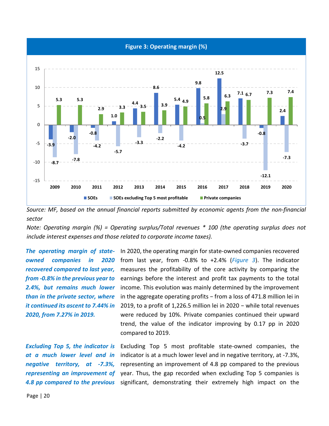

*Source: MF, based on the annual financial reports submitted by economic agents from the non-financial sector*

*Note: Operating margin (%) = Operating surplus/Total revenues \* 100 (the operating surplus does not include interest expenses and those related to corporate income taxes).*

*The operating margin of stateowned companies in 2020 recovered compared to last year, from -0.8% in the previous year to 2.4%, but remains much lower than in the private sector, where it continued its ascent to 7.44% in 2020, from 7.27% in 2019.*

*Excluding Top 5, the indicator is at a much lower level and in negative territory, at -7.3%, representing an improvement of* 

In 2020, the operating margin for state-owned companies recovered from last year, from -0.8% to +2.4% (*Figure 3*). The indicator measures the profitability of the core activity by comparing the earnings before the interest and profit tax payments to the total income. This evolution was mainly determined by the improvement in the aggregate operating profits − from a loss of 471.8 million lei in 2019, to a profit of 1,226.5 million lei in 2020 − while total revenues were reduced by 10%. Private companies continued their upward trend, the value of the indicator improving by 0.17 pp in 2020 compared to 2019.

4.8 pp compared to the previous significant, demonstrating their extremely high impact on the Excluding Top 5 most profitable state-owned companies, the indicator is at a much lower level and in negative territory, at -7.3%, representing an improvement of 4.8 pp compared to the previous year. Thus, the gap recorded when excluding Top 5 companies is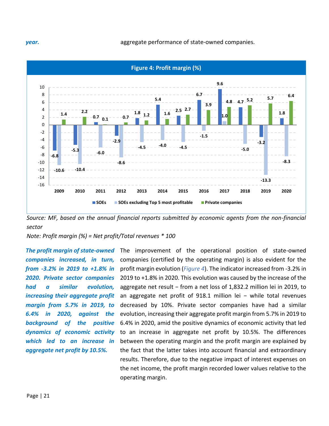*year.* **biggregate performance of state-owned companies.** 



*Source: MF, based on the annual financial reports submitted by economic agents from the non-financial sector*

*Note: Profit margin (%) = Net profit/Total revenues \* 100*

*The profit margin of state-owned companies increased, in turn, from -3.2% in 2019 to +1.8% in 2020. Private sector companies had a similar evolution, increasing their aggregate profit margin from 5.7% in 2019, to 6.4% in 2020, against the background of the positive dynamics of economic activity which led to an increase in aggregate net profit by 10.5%.* 

The improvement of the operational position of state-owned companies (certified by the operating margin) is also evident for the profit margin evolution (*Figure 4*). The indicator increased from -3.2% in 2019 to +1.8% in 2020. This evolution was caused by the increase of the aggregate net result − from a net loss of 1,832.2 million lei in 2019, to an aggregate net profit of 918.1 million lei − while total revenues decreased by 10%. Private sector companies have had a similar evolution, increasing their aggregate profit margin from 5.7% in 2019 to 6.4% in 2020, amid the positive dynamics of economic activity that led to an increase in aggregate net profit by 10.5%. The differences between the operating margin and the profit margin are explained by the fact that the latter takes into account financial and extraordinary results. Therefore, due to the negative impact of interest expenses on the net income, the profit margin recorded lower values relative to the operating margin.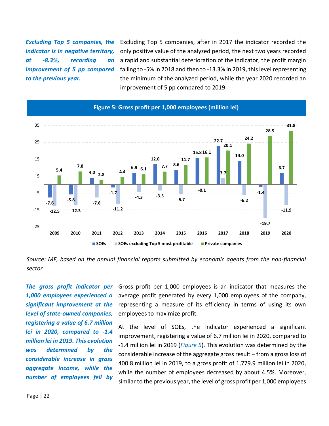*Excluding Top 5 companies, the indicator is in negative territory, at -8.3%, recording an improvement of 5 pp compared to the previous year.*

Excluding Top 5 companies, after in 2017 the indicator recorded the only positive value of the analyzed period, the next two years recorded a rapid and substantial deterioration of the indicator, the profit margin falling to -5% in 2018 and then to -13.3% in 2019, this level representing the minimum of the analyzed period, while the year 2020 recorded an improvement of 5 pp compared to 2019.



*Source: MF, based on the annual financial reports submitted by economic agents from the non-financial sector*

*The gross profit indicator per 1,000 employees experienced a significant improvement at the level of state-owned companies, registering a value of 6.7 million lei in 2020, compared to -1.4 million lei in 2019. This evolution was determined by the considerable increase in gross aggregate income, while the number of employees fell by* 

Gross profit per 1,000 employees is an indicator that measures the average profit generated by every 1,000 employees of the company, representing a measure of its efficiency in terms of using its own employees to maximize profit.

At the level of SOEs, the indicator experienced a significant improvement, registering a value of 6.7 million lei in 2020, compared to -1.4 million lei in 2019 (*Figure 5*). This evolution was determined by the considerable increase of the aggregate gross result − from a gross loss of 400.8 million lei in 2019, to a gross profit of 1,779.9 million lei in 2020, while the number of employees decreased by about 4.5%. Moreover, similar to the previous year, the level of gross profit per 1,000 employees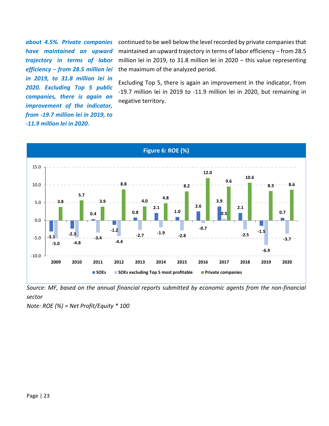*about 4.5%. Private companies have maintained an upward trajectory in terms of labor efficiency − from 28.5 million lei in 2019, to 31.8 million lei in 2020. Excluding Top 5 public companies, there is again an improvement of the indicator, from -19.7 million lei in 2019, to -11.9 million lei in 2020.*

continued to be well below the level recorded by private companies that maintained an upward trajectory in terms of labor efficiency – from 28.5 million lei in 2019, to 31.8 million lei in 2020 − this value representing the maximum of the analyzed period.

Excluding Top 5, there is again an improvement in the indicator, from -19.7 million lei in 2019 to -11.9 million lei in 2020, but remaining in negative territory.



*Source: MF, based on the annual financial reports submitted by economic agents from the non-financial sector* 

*Note: ROE (%) = Net Profit/Equity \* 100*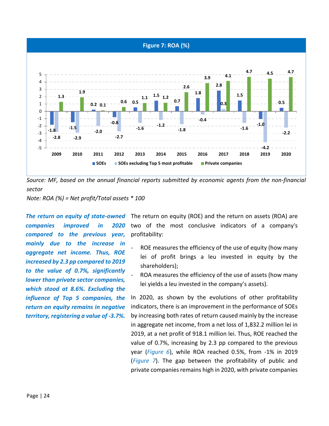



*Note: ROA (%) = Net profit/Total assets \* 100*

*The return on equity of state-owned companies improved in 2020 compared to the previous year, mainly due to the increase in aggregate net income. Thus, ROE increased by 2.3 pp compared to 2019 to the value of 0.7%, significantly lower than private sector companies, which stood at 8.6%. Excluding the influence of Top 5 companies, the return on equity remains in negative territory, registering a value of -3.7%.* 

The return on equity (ROE) and the return on assets (ROA) are two of the most conclusive indicators of a company's profitability:

- ROE measures the efficiency of the use of equity (how many lei of profit brings a leu invested in equity by the shareholders);
- ROA measures the efficiency of the use of assets (how many lei yields a leu invested in the company's assets).

In 2020, as shown by the evolutions of other profitability indicators, there is an improvement in the performance of SOEs by increasing both rates of return caused mainly by the increase in aggregate net income, from a net loss of 1,832.2 million lei in 2019, at a net profit of 918.1 million lei. Thus, ROE reached the value of 0.7%, increasing by 2.3 pp compared to the previous year (*Figure 6*), while ROA reached 0.5%, from -1% in 2019 (*Figure 7*). The gap between the profitability of public and private companies remains high in 2020, with private companies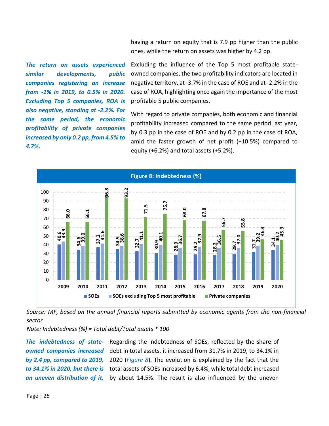having a return on equity that is 7.9 pp higher than the public ones, while the return on assets was higher by 4.2 pp.

*The return on assets experienced similar developments, public companies registering an increase from -1% in 2019, to 0.5% in 2020. Excluding Top 5 companies, ROA is also negative, standing at -2.2%. For the same period, the economic profitability of private companies increased by only 0.2 pp, from 4.5% to 4.7%.*

Excluding the influence of the Top 5 most profitable stateowned companies, the two profitability indicators are located in negative territory, at -3.7% in the case of ROE and at -2.2% in the case of ROA, highlighting once again the importance of the most profitable 5 public companies.

With regard to private companies, both economic and financial profitability increased compared to the same period last year, by 0.3 pp in the case of ROE and by 0.2 pp in the case of ROA, amid the faster growth of net profit (+10.5%) compared to equity (+6.2%) and total assets (+5.2%).



*Source: MF, based on the annual financial reports submitted by economic agents from the non-financial sector* 

*Note: Indebtedness (%) = Total debt/Total assets \* 100* 

*The indebtedness of stateowned companies increased by 2.4 pp, compared to 2019, to 34.1% in 2020, but there is an uneven distribution of it,* 

Regarding the indebtedness of SOEs, reflected by the share of debt in total assets, it increased from 31.7% in 2019, to 34.1% in 2020 (*Figure 8*). The evolution is explained by the fact that the total assets of SOEs increased by 6.4%, while total debt increased by about 14.5%. The result is also influenced by the uneven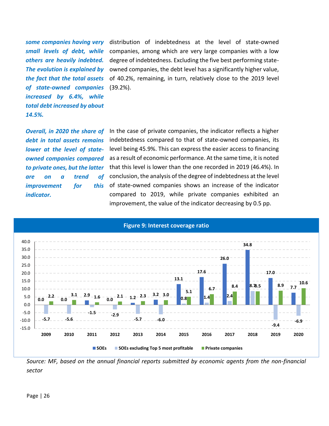*some companies having very small levels of debt, while others are heavily indebted. The evolution is explained by the fact that the total assets of state-owned companies increased by 6.4%, while total debt increased by about 14.5%.*

distribution of indebtedness at the level of state-owned companies, among which are very large companies with a low degree of indebtedness. Excluding the five best performing stateowned companies, the debt level has a significantly higher value, of 40.2%, remaining, in turn, relatively close to the 2019 level (39.2%).

*Overall, in 2020 the share of debt in total assets remains lower at the level of stateowned companies compared to private ones, but the latter are on a trend of improvement for this indicator.*

In the case of private companies, the indicator reflects a higher indebtedness compared to that of state-owned companies, its level being 45.9%. This can express the easier access to financing as a result of economic performance. At the same time, it is noted that this level is lower than the one recorded in 2019 (46.4%). In conclusion, the analysis of the degree of indebtedness at the level of state-owned companies shows an increase of the indicator compared to 2019, while private companies exhibited an improvement, the value of the indicator decreasing by 0.5 pp.



### **Figure 9: Interest coverage ratio**

*Source: MF, based on the annual financial reports submitted by economic agents from the non-financial sector*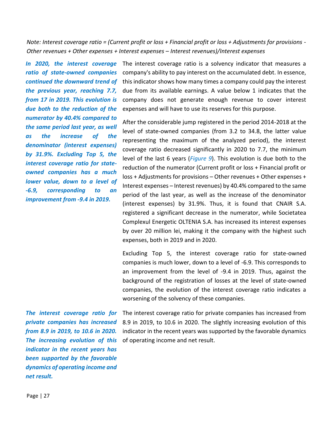*Note: Interest coverage ratio = (Current profit or loss + Financial profit or loss + Adjustments for provisions - Other revenues + Other expenses + Interest expenses – Interest revenues)/Interest expenses* 

*ratio of state-owned companies continued the downward trend of the previous year, reaching 7.7, from 17 in 2019. This evolution is due both to the reduction of the numerator by 40.4% compared to the same period last year, as well as the increase of the denominator (interest expenses) by 31.9%. Excluding Top 5, the interest coverage ratio for stateowned companies has a much lower value, down to a level of -6.9, corresponding to an improvement from -9.4 in 2019.*

In 2020, the interest coverage The interest coverage ratio is a solvency indicator that measures a company's ability to pay interest on the accumulated debt. In essence, this indicator shows how many times a company could pay the interest due from its available earnings. A value below 1 indicates that the company does not generate enough revenue to cover interest expenses and will have to use its reserves for this purpose.

> After the considerable jump registered in the period 2014-2018 at the level of state-owned companies (from 3.2 to 34.8, the latter value representing the maximum of the analyzed period), the interest coverage ratio decreased significantly in 2020 to 7.7, the minimum level of the last 6 years (*Figure 9*). This evolution is due both to the reduction of the numerator (Current profit or loss + Financial profit or loss + Adjustments for provisions – Other revenues + Other expenses + Interest expenses – Interest revenues) by 40.4% compared to the same period of the last year, as well as the increase of the denominator (interest expenses) by 31.9%. Thus, it is found that CNAIR S.A. registered a significant decrease in the numerator, while Societatea Complexul Energetic OLTENIA S.A. has increased its interest expenses by over 20 million lei, making it the company with the highest such expenses, both in 2019 and in 2020.

> Excluding Top 5, the interest coverage ratio for state-owned companies is much lower, down to a level of -6.9. This corresponds to an improvement from the level of -9.4 in 2019. Thus, against the background of the registration of losses at the level of state-owned companies, the evolution of the interest coverage ratio indicates a worsening of the solvency of these companies.

*The interest coverage ratio for private companies has increased from 8.9 in 2019, to 10.6 in 2020. The increasing evolution of this indicator in the recent years has been supported by the favorable dynamics of operating income and net result.*

The interest coverage ratio for private companies has increased from 8.9 in 2019, to 10.6 in 2020. The slightly increasing evolution of this indicator in the recent years was supported by the favorable dynamics of operating income and net result.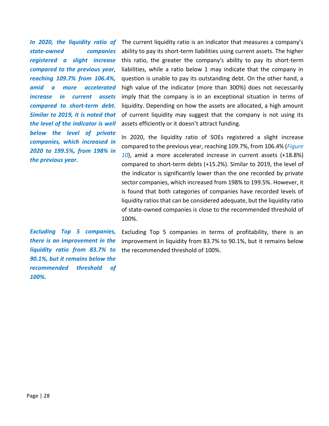*state-owned companies registered a slight increase compared to the previous year, reaching 109.7% from 106.4%, amid a more accelerated increase in current assets compared to short-term debt. Similar to 2019, it is noted that the level of the indicator is well below the level of private companies, which increased in 2020 to 199.5%, from 198% in the previous year.*

In 2020, the liquidity ratio of The current liquidity ratio is an indicator that measures a company's ability to pay its short-term liabilities using current assets. The higher this ratio, the greater the company's ability to pay its short-term liabilities, while a ratio below 1 may indicate that the company in question is unable to pay its outstanding debt. On the other hand, a high value of the indicator (more than 300%) does not necessarily imply that the company is in an exceptional situation in terms of liquidity. Depending on how the assets are allocated, a high amount of current liquidity may suggest that the company is not using its assets efficiently or it doesn't attract funding.

> In 2020, the liquidity ratio of SOEs registered a slight increase compared to the previous year, reaching 109.7%, from 106.4% (*Figure 10*), amid a more accelerated increase in current assets (+18.8%) compared to short-term debts (+15.2%). Similar to 2019, the level of the indicator is significantly lower than the one recorded by private sector companies, which increased from 198% to 199.5%. However, it is found that both categories of companies have recorded levels of liquidity ratios that can be considered adequate, but the liquidity ratio of state-owned companies is close to the recommended threshold of 100%.

*Excluding Top 5 companies, there is an improvement in the liquidity ratio from 83.7% to 90.1%, but it remains below the recommended threshold of 100%.*

Excluding Top 5 companies in terms of profitability, there is an improvement in liquidity from 83.7% to 90.1%, but it remains below the recommended threshold of 100%.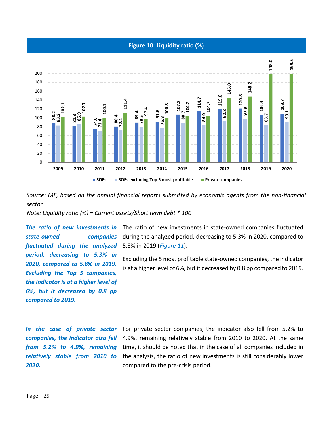### **Figure 10: Liquidity ratio (%)**



*Source: MF, based on the annual financial reports submitted by economic agents from the non-financial sector* 

*Note: Liquidity ratio (%) = Current assets/Short term debt \* 100* 

*The ratio of new investments in state-owned companies fluctuated during the analyzed period, decreasing to 5.3% in 2020, compared to 5.8% in 2019. Excluding the Top 5 companies, the indicator is at a higher level of 6%, but it decreased by 0.8 pp compared to 2019.*

The ratio of new investments in state-owned companies fluctuated during the analyzed period, decreasing to 5.3% in 2020, compared to 5.8% in 2019 (*Figure 11*).

Excluding the 5 most profitable state-owned companies, the indicator is at a higher level of 6%, but it decreased by 0.8 pp compared to 2019.

*In the case of private sector companies, the indicator also fell from 5.2% to 4.9%, remaining relatively stable from 2010 to 2020.*

For private sector companies, the indicator also fell from 5.2% to 4.9%, remaining relatively stable from 2010 to 2020. At the same time, it should be noted that in the case of all companies included in the analysis, the ratio of new investments is still considerably lower compared to the pre-crisis period.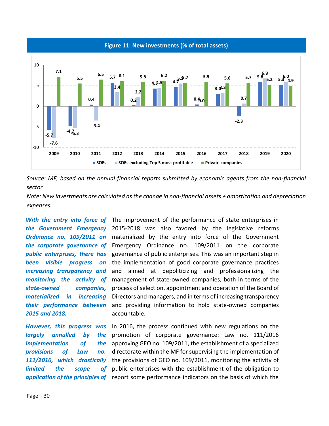



*Note: New investments are calculated as the change in non-financial assets + amortization and depreciation expenses.* 

*been visible progress on increasing transparency and state-owned companies, materialized in increasing their performance between 2015 and 2018.*

*largely annulled by the implementation of provisions of Law no. 111/2016, which drastically limited the scope of* 

With the entry into force of The improvement of the performance of state enterprises in *the Government Emergency*  2015-2018 was also favored by the legislative reforms *Ordinance no. 109/2011 on*  materialized by the entry into force of the Government *the corporate governance of*  Emergency Ordinance no. 109/2011 on the corporate *public enterprises, there has*  governance of public enterprises. This was an important step in monitoring the activity of management of state-owned companies, both in terms of the the implementation of good corporate governance practices and aimed at depoliticizing and professionalizing the process of selection, appointment and operation of the Board of Directors and managers, and in terms of increasing transparency and providing information to hold state-owned companies accountable.

However, this progress was In 2016, the process continued with new regulations on the application of the principles of report some performance indicators on the basis of which the promotion of corporate governance: Law no. 111/2016 the approving GEO no. 109/2011, the establishment of a specialized directorate within the MF for supervising the implementation of the provisions of GEO no. 109/2011, monitoring the activity of public enterprises with the establishment of the obligation to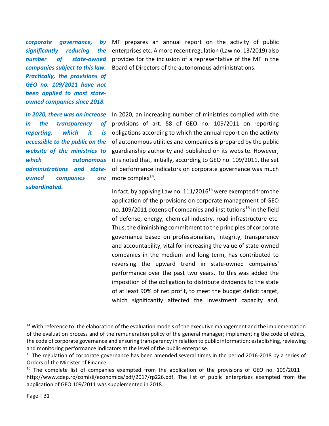*corporate governance, by significantly reducing the number of state-owned companies subject to this law. Practically, the provisions of GEO no. 109/2011 have not been applied to most stateowned companies since 2018.*

*In 2020, there was an increase in the transparency of reporting, which it website of the ministries to administrations and state-<u>owned</u> <i>companies subordinated.*

MF prepares an annual report on the activity of public enterprises etc. A more recent regulation (Law no. 13/2019) also provides for the inclusion of a representative of the MF in the Board of Directors of the autonomous administrations.

*accessible to the public on the*  of autonomous utilities and companies is prepared by the public *which autonomous*  it is noted that, initially, according to GEO no. 109/2011, the set In 2020, an increasing number of ministries complied with the provisions of art. 58 of GEO no. 109/2011 on reporting is obligations according to which the annual report on the activity guardianship authority and published on its website. However, of performance indicators on corporate governance was much more complex $^{14}$ .

> In fact, by applying Law no.  $111/2016^{15}$  were exempted from the application of the provisions on corporate management of GEO no. 109/2011 dozens of companies and institutions<sup>16</sup> in the field of defense, energy, chemical industry, road infrastructure etc. Thus, the diminishing commitment to the principles of corporate governance based on professionalism, integrity, transparency and accountability, vital for increasing the value of state-owned companies in the medium and long term, has contributed to reversing the upward trend in state-owned companies' performance over the past two years. To this was added the imposition of the obligation to distribute dividends to the state of at least 90% of net profit, to meet the budget deficit target, which significantly affected the investment capacity and,

<sup>&</sup>lt;sup>14</sup> With reference to: the elaboration of the evaluation models of the executive management and the implementation of the evaluation process and of the remuneration policy of the general manager; implementing the code of ethics, the code of corporate governance and ensuring transparency in relation to public information; establishing, reviewing and monitoring performance indicators at the level of the public enterprise.

<sup>&</sup>lt;sup>15</sup> The regulation of corporate governance has been amended several times in the period 2016-2018 by a series of Orders of the Minister of Finance.

<sup>&</sup>lt;sup>16</sup> The complete list of companies exempted from the application of the provisions of GEO no. 109/2011 – [http://www.cdep.ro/comisii/economica/pdf/2017/rp226.pdf.](http://www.cdep.ro/comisii/economica/pdf/2017/rp226.pdf) The list of public enterprises exempted from the application of GEO 109/2011 was supplemented in 2018.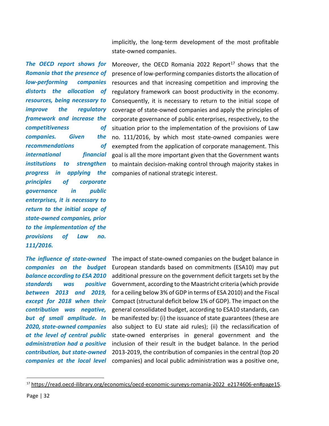implicitly, the long-term development of the most profitable state-owned companies.

*The OECD report shows for Romania that the presence of low-performing companies distorts the allocation of resources, being necessary to improve the regulatory framework and increase the*   $competitiveness$ *companies.* Given *recommendations of international institutions to strengthen principles of corporate governance in public enterprises, it is necessary to return to the initial scope of state-owned companies, prior to the implementation of the provisions of Law no. 111/2016.*

*The influence of state-owned companies on the budget balance according to ESA 2010 standards* was *between 2013 and 2019, contribution was negative, but of small amplitude. In 2020, state-owned companies at the level of central public administration had a positive contribution, but state-owned* 

*progress in applying the*  companies of national strategic interest. Moreover, the OECD Romania 2022 Report<sup>17</sup> shows that the presence of low-performing companies distorts the allocation of resources and that increasing competition and improving the regulatory framework can boost productivity in the economy. Consequently, it is necessary to return to the initial scope of coverage of state-owned companies and apply the principles of corporate governance of public enterprises, respectively, to the  $\sigma f$  situation prior to the implementation of the provisions of Law  $the$  no. 111/2016, by which most state-owned companies were exempted from the application of corporate management. This financial goal is all the more important given that the Government wants to maintain decision-making control through majority stakes in

except for 2018 when their Compact (structural deficit below 1% of GDP). The impact on the companies at the local level companies) and local public administration was a positive one, The impact of state-owned companies on the budget balance in European standards based on commitments (ESA10) may put additional pressure on the government deficit targets set by the **positive** Government, according to the Maastricht criteria (which provide for a ceiling below 3% of GDP in terms of ESA 2010) and the Fiscal general consolidated budget, according to ESA10 standards, can be manifested by: (i) the issuance of state guarantees (these are also subject to EU state aid rules); (ii) the reclassification of state-owned enterprises in general government and the inclusion of their result in the budget balance. In the period 2013-2019, the contribution of companies in the central (top 20

<sup>17</sup> [https://read.oecd-ilibrary.org/economics/oecd-economic-surveys-romania-2022\\_e2174606-en#page15.](https://read.oecd-ilibrary.org/economics/oecd-economic-surveys-romania-2022_e2174606-en#page15)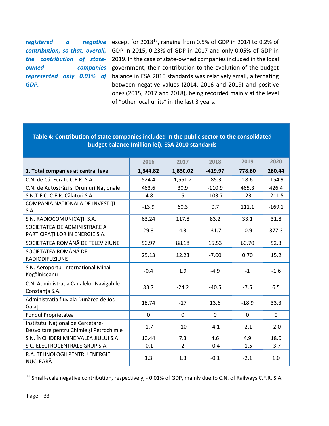*registered* a *GDP.*

*contribution, so that, overall,*  GDP in 2015, 0.23% of GDP in 2017 and only 0.05% of GDP in the contribution of state- 2019. In the case of state-owned companies included in the local *owned companies*  government, their contribution to the evolution of the budget *represented only 0.01% of*  balance in ESA 2010 standards was relatively small, alternating **negative** except for 2018<sup>18</sup>, ranging from 0.5% of GDP in 2014 to 0.2% of between negative values (2014, 2016 and 2019) and positive ones (2015, 2017 and 2018), being recorded mainly at the level of "other local units" in the last 3 years.

## **budget balance (million lei), ESA 2010 standards 2016 2017 2018 2019 2020 1. Total companies at central level 1,344.82 1,830.02 -419.97 778.80 280.44** C.N. de Căi Ferate C.F.R. S.A. 524.4 1,551.2 -85.3 18.6 -154.9 C.N. de Autostrăzi și Drumuri Naționale  $\begin{array}{ccc} | & 463.6 & 30.9 & -110.9 & 465.3 & 426.4 \end{array}$ S.N.T.F.C. C.F.R. Călători S.A. 6 -4.8 - 5 -103.7 -23 -211.5 COMPANIA NAȚIONALĂ DE INVESTIŢII S.A.  $\begin{bmatrix} 60.3 & 60.3 & 60.7 & 111.1 & -169.1 \\ 1 & -3.9 & 60.3 & 0.7 & 111.1 & -169.1 \\ 1 & 1 & 1 & 1 & 1 \end{bmatrix}$ S.N. RADIOCOMUNICAŢII S.A. 63.24 117.8 83.2 33.1 31.8 SOCIETATEA DE ADMINISTRARE A PARTICIPAȚIILOR ÎN ENERGIE S.A. 29.3 4.3 -31.7 -0.9 377.3 SOCIETATEA ROMÂNĂ DE TELEVIZIUNE  $\begin{array}{ccc} | & 50.97 & 88.18 & 15.53 & 60.70 & 52.3 \end{array}$ SOCIETATEA ROMÂNĂ DE RADIODIFUZIUNE 25.13 12.23 -7.00 0.70 15.2 S.N. Aeroportul Internațional Mihail 3.11. Actoportul Internațional Militanii -0.4 1.9 -4.9 -1 -1.6<br>Kogălniceanu C.N. Administrația Canalelor Navigabile Constanța S.A. 6.5<br>Constanța S.A. 6.5 Administrația fluvială Dunărea de Jos vanimistrația naviale Banarea ae sos (d. 18.74 - 17 - 13.6 - 18.9 - 33.3 Fondul Proprietatea 
and in the control of the control of the control of the control of the control of the control of the control of the control of the control of the control of the control of the control of the control of Institutul Național de Cercetare-Dezvoltare pentru Chimie și Petrochimie de chemine de cheminie de cheminie de cheminie de cheminie de cheminie<br>
a captura de cheminie și Petrochimie de cheminie de cheminie de cheminie de cheminie de cheminie de cheminie<br> S.N. ÎNCHIDERI MINE VALEA JIULUI S.A.  $\vert$  10.44 7.3 4.6 4.9 18.0 S.C. ELECTROCENTRALE GRUP S.A.  $\vert$  -0.1  $\vert$  2 -0.4 -1.5 -3.7 R.A. TEHNOLOGII PENTRU ENERGIE NUCLEARĂ **1.3** 1.3 -0.1 -2.1 1.0

**Table 4: Contribution of state companies included in the public sector to the consolidated** 

<sup>&</sup>lt;sup>18</sup> Small-scale negative contribution, respectively, -0.01% of GDP, mainly due to C.N. of Railways C.F.R. S.A.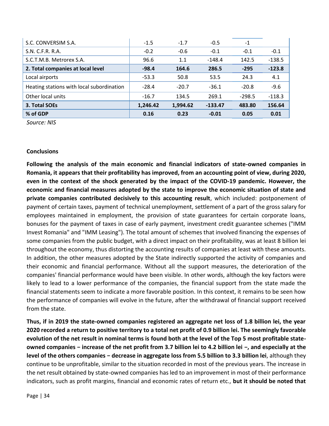| S.C. CONVERSIM S.A.                       | $-1.5$   | $-1.7$   | $-0.5$    | $-1$     |          |
|-------------------------------------------|----------|----------|-----------|----------|----------|
| S.N. C.F.R. R.A.                          | $-0.2$   | $-0.6$   | $-0.1$    | $-0.1$   | $-0.1$   |
| S.C.T.M.B. Metrorex S.A.                  | 96.6     | 1.1      | $-148.4$  | 142.5    | $-138.5$ |
| 2. Total companies at local level         | $-98.4$  | 164.6    | 286.5     | $-295$   | $-123.8$ |
| Local airports                            | $-53.3$  | 50.8     | 53.5      | 24.3     | 4.1      |
| Heating stations with local subordination | $-28.4$  | $-20.7$  | $-36.1$   | $-20.8$  | $-9.6$   |
| Other local units                         | $-16.7$  | 134.5    | 269.1     | $-298.5$ | $-118.3$ |
| 3. Total SOEs                             | 1,246.42 | 1,994.62 | $-133.47$ | 483.80   | 156.64   |
| % of GDP                                  | 0.16     | 0.23     | $-0.01$   | 0.05     | 0.01     |

*Source: NIS*

### **Conclusions**

**Following the analysis of the main economic and financial indicators of state-owned companies in Romania, it appears that their profitability has improved, from an accounting point of view, during 2020, even in the context of the shock generated by the impact of the COVID-19 pandemic. However, the economic and financial measures adopted by the state to improve the economic situation of state and private companies contributed decisively to this accounting result**, which included: postponement of payment of certain taxes, payment of technical unemployment, settlement of a part of the gross salary for employees maintained in employment, the provision of state guarantees for certain corporate loans, bonuses for the payment of taxes in case of early payment, investment credit guarantee schemes ("IMM Invest Romania" and "IMM Leasing"). The total amount of schemes that involved financing the expenses of some companies from the public budget, with a direct impact on their profitability, was at least 8 billion lei throughout the economy, thus distorting the accounting results of companies at least with these amounts. In addition, the other measures adopted by the State indirectly supported the activity of companies and their economic and financial performance. Without all the support measures, the deterioration of the companies' financial performance would have been visible. In other words, although the key factors were likely to lead to a lower performance of the companies, the financial support from the state made the financial statements seem to indicate a more favorable position. In this context, it remains to be seen how the performance of companies will evolve in the future, after the withdrawal of financial support received from the state.

**Thus, if in 2019 the state-owned companies registered an aggregate net loss of 1.8 billion lei, the year 2020 recorded a return to positive territory to a total net profit of 0.9 billion lei. The seemingly favorable evolution of the net result in nominal terms is found both at the level of the Top 5 most profitable stateowned companies − increase of the net profit from 3.7 billion lei to 4.2 billion lei −, and especially at the level of the others companies − decrease in aggregate loss from 5.5 billion to 3.3 billion lei**, although they continue to be unprofitable, similar to the situation recorded in most of the previous years. The increase in the net result obtained by state-owned companies has led to an improvement in most of their performance indicators, such as profit margins, financial and economic rates of return etc., **but it should be noted that**